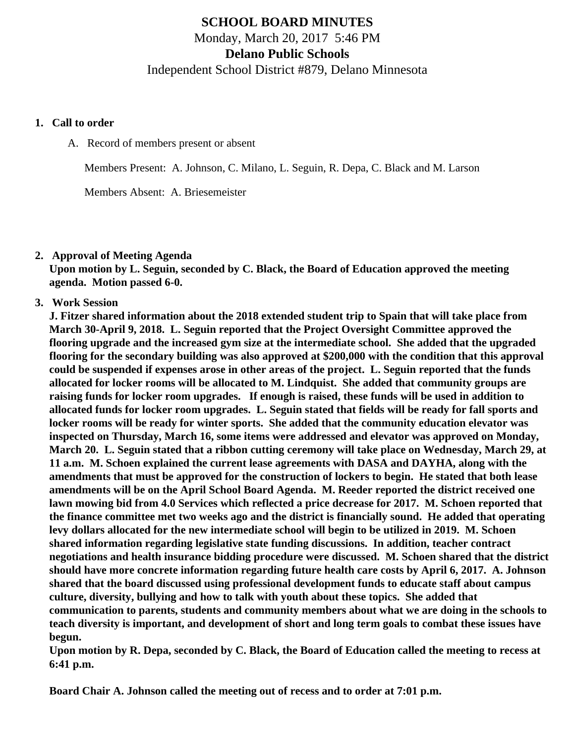# **SCHOOL BOARD MINUTES** Monday, March 20, 2017 5:46 PM **Delano Public Schools**

Independent School District #879, Delano Minnesota

#### **1. Call to order**

A. Record of members present or absent

Members Present: A. Johnson, C. Milano, L. Seguin, R. Depa, C. Black and M. Larson

Members Absent: A. Briesemeister

#### **2. Approval of Meeting Agenda**

**Upon motion by L. Seguin, seconded by C. Black, the Board of Education approved the meeting agenda. Motion passed 6-0.**

### **3. Work Session**

**J. Fitzer shared information about the 2018 extended student trip to Spain that will take place from March 30-April 9, 2018. L. Seguin reported that the Project Oversight Committee approved the flooring upgrade and the increased gym size at the intermediate school. She added that the upgraded flooring for the secondary building was also approved at \$200,000 with the condition that this approval could be suspended if expenses arose in other areas of the project. L. Seguin reported that the funds allocated for locker rooms will be allocated to M. Lindquist. She added that community groups are raising funds for locker room upgrades. If enough is raised, these funds will be used in addition to allocated funds for locker room upgrades. L. Seguin stated that fields will be ready for fall sports and locker rooms will be ready for winter sports. She added that the community education elevator was inspected on Thursday, March 16, some items were addressed and elevator was approved on Monday, March 20. L. Seguin stated that a ribbon cutting ceremony will take place on Wednesday, March 29, at 11 a.m. M. Schoen explained the current lease agreements with DASA and DAYHA, along with the amendments that must be approved for the construction of lockers to begin. He stated that both lease amendments will be on the April School Board Agenda. M. Reeder reported the district received one lawn mowing bid from 4.0 Services which reflected a price decrease for 2017. M. Schoen reported that the finance committee met two weeks ago and the district is financially sound. He added that operating levy dollars allocated for the new intermediate school will begin to be utilized in 2019. M. Schoen shared information regarding legislative state funding discussions. In addition, teacher contract negotiations and health insurance bidding procedure were discussed. M. Schoen shared that the district should have more concrete information regarding future health care costs by April 6, 2017. A. Johnson shared that the board discussed using professional development funds to educate staff about campus culture, diversity, bullying and how to talk with youth about these topics. She added that communication to parents, students and community members about what we are doing in the schools to teach diversity is important, and development of short and long term goals to combat these issues have begun.**

**Upon motion by R. Depa, seconded by C. Black, the Board of Education called the meeting to recess at 6:41 p.m.**

**Board Chair A. Johnson called the meeting out of recess and to order at 7:01 p.m.**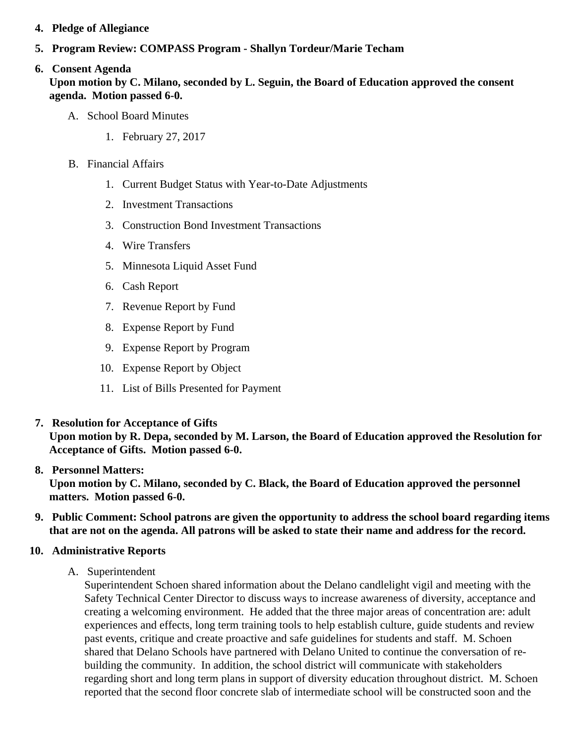- 4. Pledge of Allegiance
- 5. Program Review: COMPASS Program Shallyn Tordeur/Marie Techam

# 6. Consent Agenda

Upon motion by C. Milano, seconded by L. Seguin, the Board of Education approved the consent agenda. Motion passed 6-0.

- A. School Board Minutes
	- 1. [February 27, 201](/docs/district/District_Forms/School_Board_Minutes_2.27.17.pdf)7
- B. Financial Affairs
	- 1. [Current Budget Status with Year-to-Date Adjustm](/docs/district/Business_Office/Budget_Report_Mar_2017.pdf)ents
	- 2. [Investment Transactio](/docs/district/Business_Office/February_2017_Investment_Sched.pdf)ns
	- 3. [Construction Bond Investment Transacti](/docs/district/Business_Office/Bond_Investment_schedule_Feb_17.pdf)ons
	- 4. [Wire Transfer](/docs/district/Business_Office/February_2017_Wire_Transfer.pdf)s
	- 5. [Minnesota Liquid Asset Fun](/docs/district/Business_Office/February_2017_LAF.pdf)d
	- 6. [Cash Repo](/docs/district/Business_Office/February_2017_Cash_Report.pdf)rt
	- 7. [Revenue Report by Fu](/docs/district/Business_Office/SCHOOL_BOARD_REPORTS_-_REVENUE_BY_FUND_TOTAL__(Date__6_2017).pdf)nd
	- 8. [Expense Report by Fu](/docs/district/Business_Office/SCHOOL_BOARD_REPORTS_-_EXP_BY_FUND_TOTAL__(Date__6_2017).pdf)nd
	- 9. [Expense Report by Progra](/docs/district/Business_Office/SCHOOL_BOARD_REPORTS_-_EXPENDITURES_BY_PROGRAM__(Date__6_2017).pdf)m
	- 10. [Expense Report by Obje](/docs/district/Business_Office/SCHOOL_BOARD_REPORTS_-_EXPENDITURES_BY_OBJECT__(Date__6_2017).pdf)ct
	- 11. [List of Bills Presented for Payme](/docs/district/Business_Office/DETAIL_OF_MONTHLY_BILLS_PRESENTED_FOR_PAYMENT_(Dates__02_01_17_-_03_15_17).pdf)nt
- 7. [Resolution for Acceptance of Gifts](/docs/district/Business_Office/Resolution_for_Acceptance_of_Gifts_3.20.17.pdf)

Upon motion by R. Depa, seconded by M. Larson, the Board of Education approved the Resolution for Acceptance of Gifts. Motion passed 6-0.

# 8. [Personnel Matters:](/docs/district/Business_Office/03.20.17.pdf)

Upon motion by C. Milano, seconded by C. Black, the Board of Education approved the personnel matters. Motion passed 6-0.

- 9. Public Comment: School patrons are given the opportunity to address the school board regarding items that are not on the agenda. All patrons will be asked to state their name and address for the record.
- 10. Administrative Reports
	- A. Superintendent

Superintendent Schoen shared information about the Delano candlelight vigil and meeting with the Safety Technical Center Director to discuss ways to increase awareness of diversity, acceptance a creating a welcoming environment. He added that the three major areas of concentration are: adu experiences and effects, long term training tools to help establish culture, guide students and review past events, critique and create proactive and safe guidelines for students and staff. M. Schoen shared that Delano Schools have partnered with Delano United to continue the conversation of rebuilding the community. In addition, the school district will communicate with stakeholders regarding short and long term plans in support of diversity education throughout district. M. Schoe reported that the second floor concrete slab of intermediate school will be constructed soon and the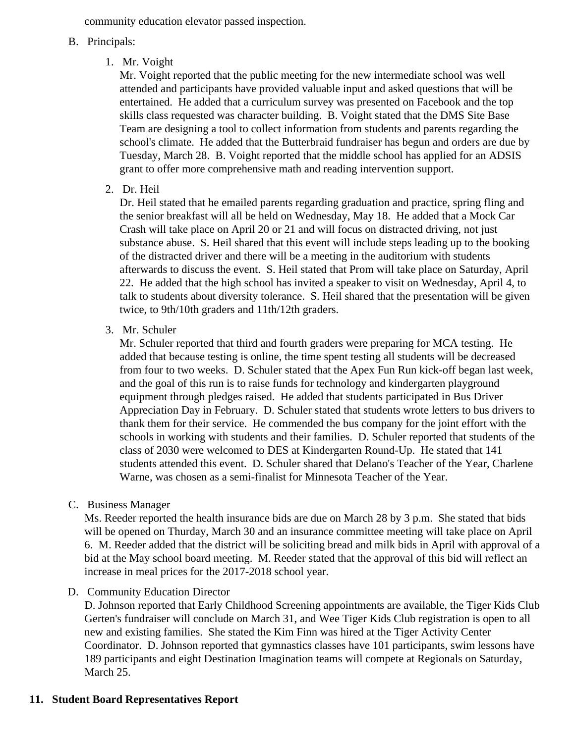community education elevator passed inspection.

### B. Principals:

1. Mr. Voight

Mr. Voight reported that the public meeting for the new intermediate school was well attended and participants have provided valuable input and asked questions that will be entertained. He added that a curriculum survey was presented on Facebook and the top skills class requested was character building. B. Voight stated that the DMS Site Base Team are designing a tool to collect information from students and parents regarding the school's climate. He added that the Butterbraid fundraiser has begun and orders are due by Tuesday, March 28. B. Voight reported that the middle school has applied for an ADSIS grant to offer more comprehensive math and reading intervention support.

2. Dr. Heil

Dr. Heil stated that he emailed parents regarding graduation and practice, spring fling and the senior breakfast will all be held on Wednesday, May 18. He added that a Mock Car Crash will take place on April 20 or 21 and will focus on distracted driving, not just substance abuse. S. Heil shared that this event will include steps leading up to the booking of the distracted driver and there will be a meeting in the auditorium with students afterwards to discuss the event. S. Heil stated that Prom will take place on Saturday, April 22. He added that the high school has invited a speaker to visit on Wednesday, April 4, to talk to students about diversity tolerance. S. Heil shared that the presentation will be given twice, to 9th/10th graders and 11th/12th graders.

3. Mr. Schuler

Mr. Schuler reported that third and fourth graders were preparing for MCA testing. He added that because testing is online, the time spent testing all students will be decreased from four to two weeks. D. Schuler stated that the Apex Fun Run kick-off began last week, and the goal of this run is to raise funds for technology and kindergarten playground equipment through pledges raised. He added that students participated in Bus Driver Appreciation Day in February. D. Schuler stated that students wrote letters to bus drivers to thank them for their service. He commended the bus company for the joint effort with the schools in working with students and their families. D. Schuler reported that students of the class of 2030 were welcomed to DES at Kindergarten Round-Up. He stated that 141 students attended this event. D. Schuler shared that Delano's Teacher of the Year, Charlene Warne, was chosen as a semi-finalist for Minnesota Teacher of the Year.

C. Business Manager

Ms. Reeder reported the health insurance bids are due on March 28 by 3 p.m. She stated that bids will be opened on Thurday, March 30 and an insurance committee meeting will take place on April 6. M. Reeder added that the district will be soliciting bread and milk bids in April with approval of a bid at the May school board meeting. M. Reeder stated that the approval of this bid will reflect an increase in meal prices for the 2017-2018 school year.

D. Community Education Director

D. Johnson reported that Early Childhood Screening appointments are available, the Tiger Kids Club Gerten's fundraiser will conclude on March 31, and Wee Tiger Kids Club registration is open to all new and existing families. She stated the Kim Finn was hired at the Tiger Activity Center Coordinator. D. Johnson reported that gymnastics classes have 101 participants, swim lessons have 189 participants and eight Destination Imagination teams will compete at Regionals on Saturday, March 25.

## **11. Student Board Representatives Report**